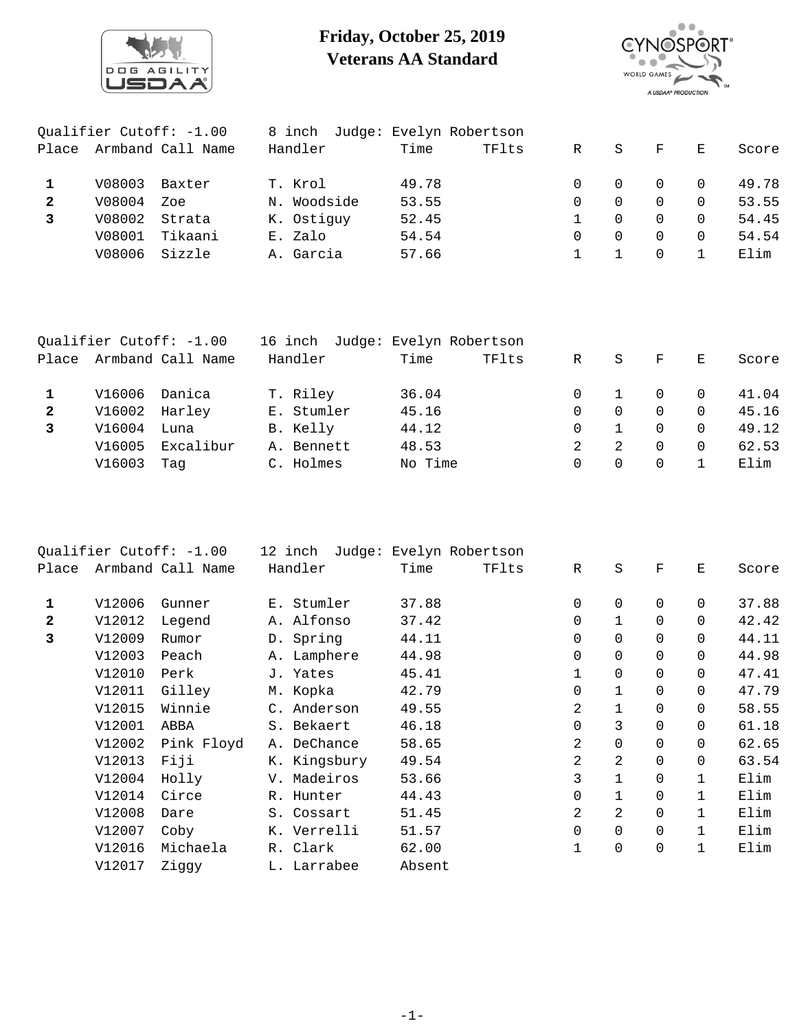

## **Friday, October 25, 2019 Veterans AA Standard**



| Qualifier Cutoff: -1.00 |        | 8 inch            | Judge: Evelyn Robertson |       |       |              |          |              |          |       |
|-------------------------|--------|-------------------|-------------------------|-------|-------|--------------|----------|--------------|----------|-------|
| Place                   |        | Armband Call Name | Handler                 | Time  | TFlts | R            | S        | $_{\rm F}$   | Е        | Score |
|                         | V08003 | Baxter            | T. Krol                 | 49.78 |       |              | $\Omega$ | $\Omega$     |          | 49.78 |
| $\mathbf{2}$            | V08004 | Zoe               | N. Woodside             | 53.55 |       | $\Omega$     | $\Omega$ | 0            | $\Omega$ | 53.55 |
|                         | V08002 | Strata            | K. Ostiquy              | 52.45 |       |              | $\Omega$ | <sup>n</sup> | $\Omega$ | 54.45 |
|                         | V08001 | Tikaani           | E. Zalo                 | 54.54 |       | <sup>n</sup> | $\Omega$ | $\Omega$     | $\Omega$ | 54.54 |
|                         | V08006 | Sizzle            | A. Garcia               | 57.66 |       |              |          | 0            |          | Elim  |
|                         |        |                   |                         |       |       |              |          |              |          |       |

| Qualifier Cutoff: -1.00 |             | 16 inch Judge: Evelyn Robertson |            |         |       |   |          |              |                |       |
|-------------------------|-------------|---------------------------------|------------|---------|-------|---|----------|--------------|----------------|-------|
| Place                   |             | Armband Call Name               | Handler    | Time    | TFlts | R | S        | $\mathbf{F}$ | E              | Score |
|                         | V16006      | Danica                          | T. Riley   | 36.04   |       |   |          | $\Omega$     | $\overline{0}$ | 41.04 |
| $\mathbf{2}$            |             | V16002 Harley                   | E. Stumler | 45.16   |       | 0 | $\Omega$ | $\Omega$     | $\Omega$       | 45.16 |
| 3                       | V16004 Luna |                                 | B. Kelly   | 44.12   |       | 0 |          | $\Omega$     | $\Omega$       | 49.12 |
|                         | V16005      | Excalibur                       | A. Bennett | 48.53   |       |   | -2       | $\Omega$     | $\Omega$       | 62.53 |
|                         | V16003      | Taq                             | C. Holmes  | No Time |       | 0 | $\Omega$ | $\Omega$     |                | Elim  |

| Oualifier Cutoff: $-1.00$ |        | 12 inch           | Judge: Evelyn Robertson |        |       |                |                |             |              |       |
|---------------------------|--------|-------------------|-------------------------|--------|-------|----------------|----------------|-------------|--------------|-------|
| Place                     |        | Armband Call Name | Handler                 | Time   | TFlts | $\mathbb{R}$   | S              | F           | Е            | Score |
|                           |        |                   |                         |        |       |                |                |             |              |       |
| 1                         | V12006 | Gunner            | E. Stumler              | 37.88  |       | 0              | $\mathbf 0$    | $\mathbf 0$ | $\Omega$     | 37.88 |
| $\mathbf{2}$              | V12012 | Legend            | A. Alfonso              | 37.42  |       | $\mathbf 0$    | $\mathbf{1}$   | $\Omega$    | $\Omega$     | 42.42 |
| 3                         | V12009 | Rumor             | D. Spring               | 44.11  |       | $\mathbf 0$    | $\mathbf 0$    | $\Omega$    | $\Omega$     | 44.11 |
|                           | V12003 | Peach             | A. Lamphere             | 44.98  |       | 0              | $\mathbf 0$    | $\Omega$    | $\Omega$     | 44.98 |
|                           | V12010 | Perk              | J. Yates                | 45.41  |       | 1              | 0              | $\mathbf 0$ | $\Omega$     | 47.41 |
|                           | V12011 | Gilley            | M. Kopka                | 42.79  |       | $\mathbf 0$    | $\mathbf{1}$   | $\mathbf 0$ | $\Omega$     | 47.79 |
|                           | V12015 | Winnie            | C. Anderson             | 49.55  |       | 2              | $\mathbf{1}$   | $\Omega$    | $\Omega$     | 58.55 |
|                           | V12001 | ABBA              | S. Bekaert              | 46.18  |       | $\mathbf 0$    | 3              | $\mathbf 0$ | $\Omega$     | 61.18 |
|                           | V12002 | Pink Floyd        | A. DeChance             | 58.65  |       | 2              | 0              | $\mathbf 0$ | $\mathbf 0$  | 62.65 |
|                           | V12013 | Fiji              | K. Kingsbury            | 49.54  |       | 2              | 2              | $\mathbf 0$ | 0            | 63.54 |
|                           | V12004 | Holly             | V. Madeiros             | 53.66  |       | 3              | $\mathbf{1}$   | $\mathbf 0$ | $\mathbf{1}$ | Elim  |
|                           | V12014 | Circe             | R. Hunter               | 44.43  |       | 0              | $\mathbf{1}$   | $\mathbf 0$ | $\mathbf{1}$ | Elim  |
|                           | V12008 | Dare              | S. Cossart              | 51.45  |       | $\overline{2}$ | $\overline{2}$ | $\mathbf 0$ | $\mathbf{1}$ | Elim  |
|                           | V12007 | Coby              | K. Verrelli             | 51.57  |       | $\mathbf 0$    | $\mathbf 0$    | $\mathbf 0$ | $\mathbf{1}$ | Elim  |
|                           | V12016 | Michaela          | R. Clark                | 62.00  |       | 1              | 0              | $\mathbf 0$ | $\mathbf{1}$ | Elim  |
|                           | V12017 | Ziggy             | L. Larrabee             | Absent |       |                |                |             |              |       |